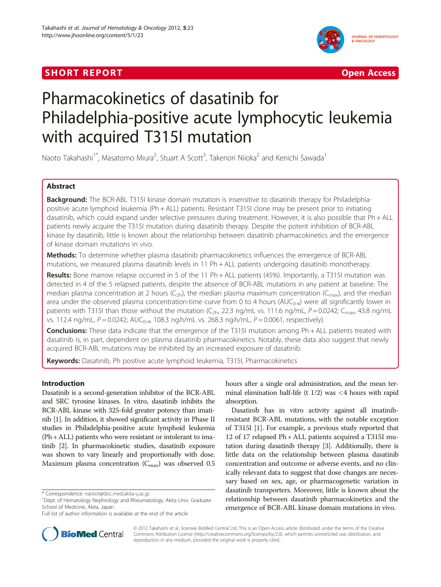## **SHORT REPORT CONTRACT CONTRACT CONTRACT CONTRACT CONTRACT CONTRACT CONTRACT CONTRACT CONTRACT CONTRACT CONTRACT CONTRACT CONTRACT CONTRACT CONTRACT CONTRACT CONTRACT CONTRACT CONTRACT CONTRACT CONTRACT CONTRACT CONTRACT C**





# Pharmacokinetics of dasatinib for Philadelphia-positive acute lymphocytic leukemia with acquired T315I mutation

Naoto Takahashi<sup>1\*</sup>, Masatomo Miura<sup>2</sup>, Stuart A Scott<sup>3</sup>, Takenori Niioka<sup>2</sup> and Kenichi Sawada<sup>1</sup>

## Abstract

Background: The BCR-ABL T315I kinase domain mutation is insensitive to dasatinib therapy for Philadelphiapositive acute lymphoid leukemia (Ph + ALL) patients. Resistant T315I clone may be present prior to initiating dasatinib, which could expand under selective pressures during treatment. However, it is also possible that Ph + ALL patients newly acquire the T315I mutation during dasatinib therapy. Despite the potent inhibition of BCR-ABL kinase by dasatinib, little is known about the relationship between dasatinib pharmacokinetics and the emergence of kinase domain mutations in vivo.

Methods: To determine whether plasma dasatinib pharmacokinetics influences the emergence of BCR-ABL mutations, we measured plasma dasatinib levels in 11 Ph + ALL patients undergoing dasatinib monotherapy.

Results: Bone marrow relapse occurred in 5 of the 11 Ph + ALL patients (45%). Importantly, a T315I mutation was detected in 4 of the 5 relapsed patients, despite the absence of BCR-ABL mutations in any patient at baseline. The median plasma concentration at 2 hours (C<sub>2h</sub>), the median plasma maximum concentration (C<sub>max</sub>), and the median area under the observed plasma concentration-time curve from 0 to 4 hours ( $AUC_{0-4}$ ) were all significantly lower in patients with T315I than those without the mutation ( $C_{2h}$ , 22.3 ng/mL vs. 111.6 ng/mL,  $P = 0.0242$ ;  $C_{\text{max}}$ , 43.8 ng/mL vs. 112.4 ng/mL,  $P = 0.0242$ ;  $AUC_{0.4}$ , 108.3 ng·h/mL vs. 268.3 ng·h/mL,  $P = 0.0061$ , respectively).

**Conclusions:** These data indicate that the emergence of the T315I mutation among  $Ph + ALL$  patients treated with dasatinib is, in part, dependent on plasma dasatinib pharmacokinetics. Notably, these data also suggest that newly acquired BCR-ABL mutations may be inhibited by an increased exposure of dasatinib.

Keywords: Dasatinib, Ph positive acute lymphoid leukemia, T315I, Pharmacokinetics

## Introduction

Dasatinib is a second-generation inhibitor of the BCR-ABL and SRC tyrosine kinases. In vitro, dasatinib inhibits the BCR-ABL kinase with 325-fold greater potency than imatinib [\[1\]](#page-3-0). In addition, it showed significant activity in Phase II studies in Philadelphia-positive acute lymphoid leukemia (Ph + ALL) patients who were resistant or intolerant to imatinib [[2](#page-3-0)]. In pharmacokinetic studies, dasatinib exposure was shown to vary linearly and proportionally with dose. Maximum plasma concentration  $(C_{\text{max}})$  was observed 0.5



Dasatinib has in vitro activity against all imatinibresistant BCR-ABL mutations, with the notable exception of T315I [[1](#page-3-0)]. For example, a previous study reported that 12 of 17 relapsed Ph + ALL patients acquired a T315I mutation during dasatinib therapy [\[3\]](#page-3-0). Additionally, there is little data on the relationship between plasma dasatinib concentration and outcome or adverse events, and no clinically relevant data to suggest that dose changes are necessary based on sex, age, or pharmacogenetic variation in dasatinib transporters. Moreover, little is known about the relationship between dasatinib pharmacokinetics and the emergence of BCR-ABL kinase domain mutations in vivo.



© 2012 Takahashi et al.; licensee BioMed Central Ltd. This is an Open Access article distributed under the terms of the Creative Commons Attribution License [\(http://creativecommons.org/licenses/by/2.0\)](http://creativecommons.org/licenses/by/2.0), which permits unrestricted use, distribution, and reproduction in any medium, provided the original work is properly cited.

<sup>\*</sup> Correspondence: [naotot@doc.med.akita-u.ac.jp](mailto:naotot@doc.med.akita-u.ac.jp) <sup>1</sup>

<sup>&</sup>lt;sup>1</sup>Dept. of Hematology Nephrology and Rheumatology, Akita Univ. Graduate School of Medicine, Akita, Japan

Full list of author information is available at the end of the article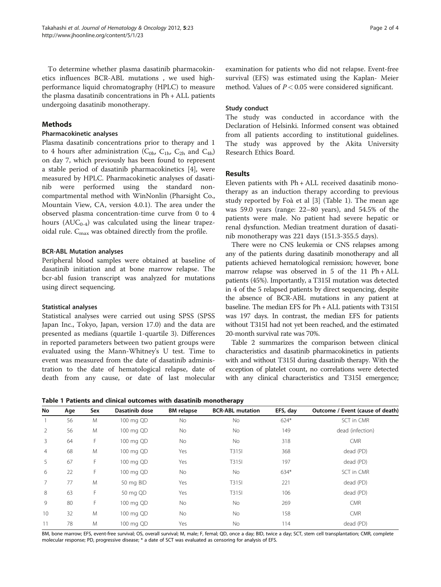#### Methods

## Pharmacokinetic analyses

Plasma dasatinib concentrations prior to therapy and 1 to 4 hours after administration ( $C_{0h}$ ,  $C_{1h}$ ,  $C_{2h}$  and  $C_{4h}$ ) on day 7, which previously has been found to represent a stable period of dasatinib pharmacokinetics [[4\]](#page-3-0), were measured by HPLC. Pharmacokinetic analyses of dasatinib were performed using the standard noncompartmental method with WinNonlin (Pharsight Co., Mountain View, CA, version 4.0.1). The area under the observed plasma concentration-time curve from 0 to 4 hours  $(AUC_{0.4})$  was calculated using the linear trapezoidal rule.  $C_{\text{max}}$  was obtained directly from the profile.

#### BCR-ABL Mutation analyses

Peripheral blood samples were obtained at baseline of dasatinib initiation and at bone marrow relapse. The bcr-abl fusion transcript was analyzed for mutations using direct sequencing.

## Statistical analyses

Statistical analyses were carried out using SPSS (SPSS Japan Inc., Tokyo, Japan, version 17.0) and the data are presented as medians (quartile 1-quartile 3). Differences in reported parameters between two patient groups were evaluated using the Mann-Whitney's U test. Time to event was measured from the date of dasatinib administration to the date of hematological relapse, date of death from any cause, or date of last molecular examination for patients who did not relapse. Event-free survival (EFS) was estimated using the Kaplan- Meier method. Values of  $P < 0.05$  were considered significant.

## Study conduct

The study was conducted in accordance with the Declaration of Helsinki. Informed consent was obtained from all patients according to institutional guidelines. The study was approved by the Akita University Research Ethics Board.

## Results

Eleven patients with Ph + ALL received dasatinib monotherapy as an induction therapy according to previous study reported by Foà et al [[3\]](#page-3-0) (Table 1). The mean age was 59.0 years (range: 22–80 years), and 54.5% of the patients were male. No patient had severe hepatic or renal dysfunction. Median treatment duration of dasatinib monotherapy was 221 days (151.3-355.5 days).

There were no CNS leukemia or CNS relapses among any of the patients during dasatinib monotherapy and all patients achieved hematological remission; however, bone marrow relapse was observed in  $5$  of the  $11$  Ph + ALL patients (45%). Importantly, a T315I mutation was detected in 4 of the 5 relapsed patients by direct sequencing, despite the absence of BCR-ABL mutations in any patient at baseline. The median EFS for Ph + ALL patients with T315I was 197 days. In contrast, the median EFS for patients without T315I had not yet been reached, and the estimated 20-month survival rate was 70%.

Table [2](#page-2-0) summarizes the comparison between clinical characteristics and dasatinib pharmacokinetics in patients with and without T315I during dasatinib therapy. With the exception of platelet count, no correlations were detected with any clinical characteristics and T315I emergence;

Table 1 Patients and clinical outcomes with dasatinib monotherapy

| No             | Age | Sex | Dasatinib dose | <b>BM</b> relapse | <b>BCR-ABL mutation</b> | EFS, day | Outcome / Event (cause of death) |
|----------------|-----|-----|----------------|-------------------|-------------------------|----------|----------------------------------|
|                | 56  | M   | 100 mg QD      | No                | <b>No</b>               | $624*$   | SCT in CMR                       |
| $\overline{2}$ | 56  | M   | 100 mg QD      | No                | No                      | 149      | dead (infection)                 |
| $\overline{3}$ | 64  | F   | 100 mg QD      | No                | No                      | 318      | <b>CMR</b>                       |
| $\overline{4}$ | 68  | M   | 100 mg QD      | Yes               | T315I                   | 368      | dead (PD)                        |
| 5              | 67  | F   | 100 mg QD      | Yes               | T315I                   | 197      | dead (PD)                        |
| 6              | 22  | F   | 100 mg QD      | No                | <b>No</b>               | 634*     | SCT in CMR                       |
| $\overline{7}$ | 77  | M   | 50 mg BID      | Yes               | T315I                   | 221      | dead (PD)                        |
| 8              | 63  | F.  | 50 mg QD       | Yes               | T315I                   | 106      | dead (PD)                        |
| 9              | 80  | F.  | 100 mg QD      | No                | No                      | 269      | <b>CMR</b>                       |
| 10             | 32  | M   | 100 mg QD      | No                | No                      | 158      | <b>CMR</b>                       |
| 11             | 78  | M   | 100 mg QD      | Yes               | <b>No</b>               | 114      | dead (PD)                        |

BM, bone marrow; EFS, event-free survival; OS, overall survival; M, male; F, femal; QD, once a day; BID, twice a day; SCT, stem cell transplantation; CMR, complete molecular response; PD, progressive disease; \* a date of SCT was evaluated as censoring for analysis of EFS.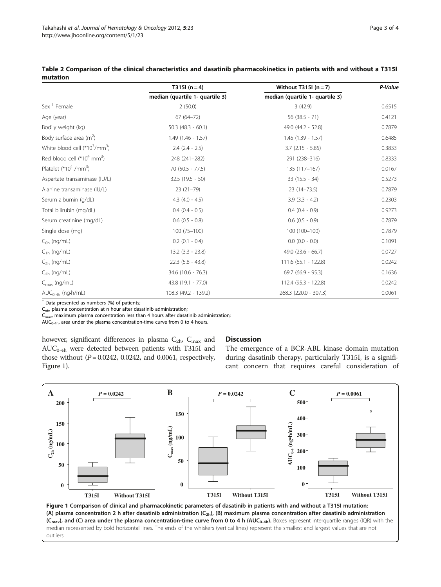|                                                       | T315 $(n=4)$                    | Without T315I $(n = 7)$         | P-Value |
|-------------------------------------------------------|---------------------------------|---------------------------------|---------|
|                                                       | median (quartile 1- quartile 3) | median (quartile 1- quartile 3) |         |
| Sex <sup>+</sup> Female                               | 2(50.0)                         | 3(42.9)                         | 0.6515  |
| Age (year)                                            | $67(64 - 72)$                   | $56(38.5 - 71)$                 | 0.4121  |
| Bodily weight (kg)                                    | $50.3$ (48.3 - 60.1)            | 49.0 (44.2 - 52.8)              | 0.7879  |
| Body surface area $(m^2)$                             | $1.49(1.46 - 1.57)$             | $1.45(1.39 - 1.57)$             | 0.6485  |
| White blood cell (*10 <sup>3</sup> /mm <sup>3</sup> ) | $2.4$ $(2.4 - 2.5)$             | $3.7(2.15 - 5.85)$              | 0.3833  |
| Red blood cell ( $*104$ mm <sup>3</sup> )             | 248 (241-282)                   | 291 (238-316)                   | 0.8333  |
| Platelet $(*104 /mm3)$                                | $70(50.5 - 77.5)$               | 135 (117-167)                   | 0.0167  |
| Aspartate transaminase (IU/L)                         | $32.5(19.5 - 50)$               | $33(15.5 - 34)$                 | 0.5273  |
| Alanine transaminase (IU/L)                           | $23(21-79)$                     | $23(14 - 73.5)$                 | 0.7879  |
| Serum albumin (g/dL)                                  | $4.3$ $(4.0 - 4.5)$             | $3.9(3.3 - 4.2)$                | 0.2303  |
| Total bilirubin (mg/dL)                               | $0.4$ $(0.4 - 0.5)$             | $0.4$ $(0.4 - 0.9)$             | 0.9273  |
| Serum creatinine (mg/dL)                              | $0.6$ $(0.5 - 0.8)$             | $0.6$ $(0.5 - 0.9)$             | 0.7879  |
| Single dose (mg)                                      | $100(75 - 100)$                 | 100 (100-100)                   | 0.7879  |
| $C_{0h}$ (ng/mL)                                      | $0.2$ (0.1 - 0.4)               | $0.0$ $(0.0 - 0.0)$             | 0.1091  |
| $C_{1h}$ (ng/mL)                                      | $13.2$ $(3.3 - 23.8)$           | $49.0$ (23.6 - 66.7)            | 0.0727  |
| $C_{2h}$ (ng/mL)                                      | $22.3$ (5.8 - 43.8)             | $111.6(65.1 - 122.8)$           | 0.0242  |
| $C_{4h}$ (ng/mL)                                      | 34.6 (10.6 - 76.3)              | $69.7(66.9 - 95.3)$             | 0.1636  |
| $C_{\text{max}}$ (ng/mL)                              | 43.8 (19.1 - 77.0)              | 112.4 (95.3 - 122.8)            | 0.0242  |
| $AUC_{0-4h}$ (ng-h/mL)                                | 108.3 (49.2 - 139.2)            | 268.3 (220.0 - 307.3)           | 0.0061  |

<span id="page-2-0"></span>Table 2 Comparison of the clinical characteristics and dasatinib pharmacokinetics in patients with and without a T315I mutation

† Data presented as numbers (%) of patients;

 $C<sub>nh</sub>$ , plasma concentration at n hour after dasatinib administration;

 $C_{\text{max}}$  maximum plasma concentration less than 4 hours after dasatinib administration;

 $AUC_{0-4h}$ , area under the plasma concentration-time curve from 0 to 4 hours.

however, significant differences in plasma  $C_{2h}$ ,  $C_{max}$  and  $AUC_{0-4h}$  were detected between patients with T315I and those without  $(P = 0.0242, 0.0242,$  and 0.0061, respectively, Figure 1).

#### **Discussion**

The emergence of a BCR-ABL kinase domain mutation during dasatinib therapy, particularly T315I, is a significant concern that requires careful consideration of